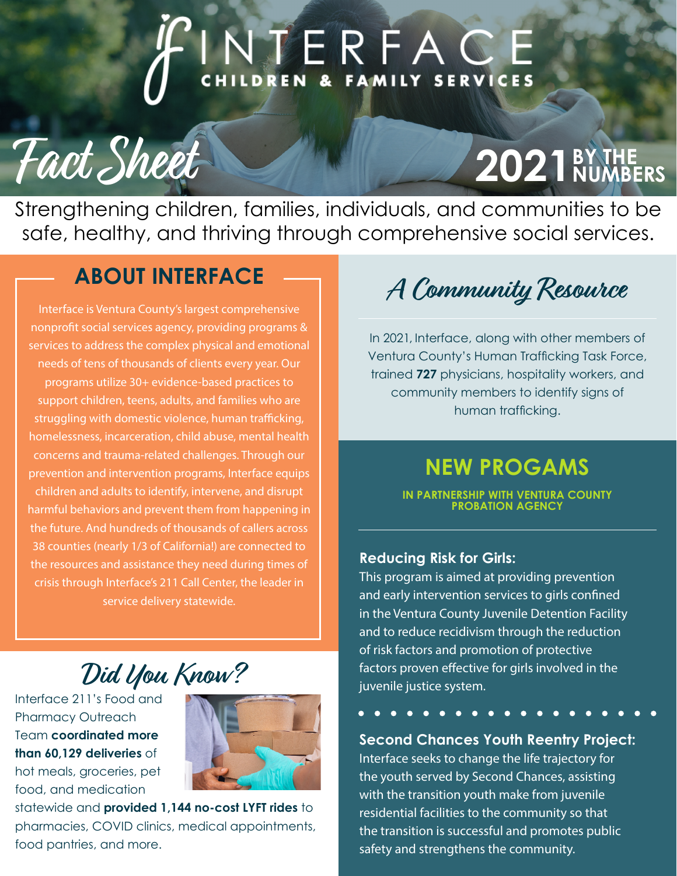# NTERFACE

# **2021** BY THE

Strengthening children, families, individuals, and communities to be safe, healthy, and thriving through comprehensive social services.

### **ABOUT INTERFACE**

Fact Sheet

Interface is Ventura County's largest comprehensive nonprofit social services agency, providing programs & services to address the complex physical and emotional needs of tens of thousands of clients every year. Our programs utilize 30+ evidence-based practices to support children, teens, adults, and families who are struggling with domestic violence, human trafficking, homelessness, incarceration, child abuse, mental health concerns and trauma-related challenges. Through our prevention and intervention programs, Interface equips children and adults to identify, intervene, and disrupt harmful behaviors and prevent them from happening in the future. And hundreds of thousands of callers across 38 counties (nearly 1/3 of California!) are connected to the resources and assistance they need during times of crisis through Interface's 211 Call Center, the leader in service delivery statewide.

**A Community Resource**

In 2021, Interface, along with other members of Ventura County's Human Trafficking Task Force, trained **727** physicians, hospitality workers, and community members to identify signs of human trafficking.

#### **NEW PROGAMS**

**IN PARTNERSHIP WITH VENTURA COUNTY PROBATION AGENCY**

#### **Reducing Risk for Girls:**

This program is aimed at providing prevention and early intervention services to girls confined in the Ventura County Juvenile Detention Facility and to reduce recidivism through the reduction of risk factors and promotion of protective factors proven effective for girls involved in the juvenile justice system.

#### **Second Chances Youth Reentry Project:**

Interface seeks to change the life trajectory for the youth served by Second Chances, assisting with the transition youth make from juvenile residential facilities to the community so that the transition is successful and promotes public safety and strengthens the community.

**Did You Know?**

Interface 211's Food and Pharmacy Outreach Team **coordinated more than 60,129 deliveries** of hot meals, groceries, pet food, and medication



statewide and **provided 1,144 no-cost LYFT rides** to pharmacies, COVID clinics, medical appointments, food pantries, and more.